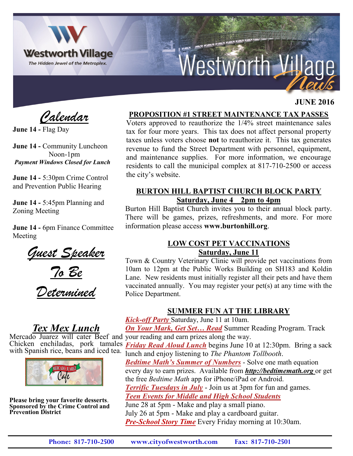

# Westworth Village

### **JUNE 2016**

 *Calendar*

**June 14 -** Flag Day

**June 14 -** Community Luncheon Noon-1pm *Payment Windows Closed for Lunch*

**June 14 -** 5:30pm Crime Control and Prevention Public Hearing

**June 14 -** 5:45pm Planning and Zoning Meeting

**June 14 -** 6pm Finance Committee Meeting





*Determined*

# *Tex Mex Lunch*

Mercado Juarez will cater Beef and your reading and earn prizes along the way. Chicken enchiladas, pork tamales with Spanish rice, beans and iced tea.



**Please bring your favorite desserts**. **Sponsored by the Crime Control and Prevention District**

### **PROPOSITION #1 STREET MAINTENANCE TAX PASSES**

Voters approved to reauthorize the 1/4% street maintenance sales tax for four more years. This tax does not affect personal property taxes unless voters choose **not** to reauthorize it. This tax generates revenue to fund the Street Department with personnel, equipment, and maintenance supplies. For more information, we encourage residents to call the municipal complex at 817-710-2500 or access the city's website.

## **BURTON HILL BAPTIST CHURCH BLOCK PARTY Saturday, June 4 2pm to 4pm**

Burton Hill Baptist Church invites you to their annual block party. There will be games, prizes, refreshments, and more. For more information please access **www.burtonhill.org**.

#### **LOW COST PET VACCINATIONS Saturday, June 11**

Town & Country Veterinary Clinic will provide pet vaccinations from 10am to 12pm at the Public Works Building on SH183 and Koldin Lane. New residents must initially register all their pets and have them vaccinated annually. You may register your pet(s) at any time with the Police Department.

## **SUMMER FUN AT THE LIBRARY**

*Kick-off Party* Saturday, June 11 at 10am.

*On Your Mark, Get Set… Read* Summer Reading Program. Track

*Friday Read Aloud Lunch* begins June 10 at 12:30pm. Bring a sack lunch and enjoy listening to *The Phantom Tollbooth*.

*Bedtime Math's Summer of Numbers* - Solve one math equation every day to earn prizes. Available from *http://bedtimemath.org* or get the free *Bedtime Math* app for iPhone/iPad or Android. *Terrific Tuesdays in July* - Join us at 3pm for fun and games. *Teen Events for Middle and High School Students* June 28 at 5pm - Make and play a small piano. July 26 at 5pm - Make and play a cardboard guitar.

*Pre-School Story Time* Every Friday morning at 10:30am.